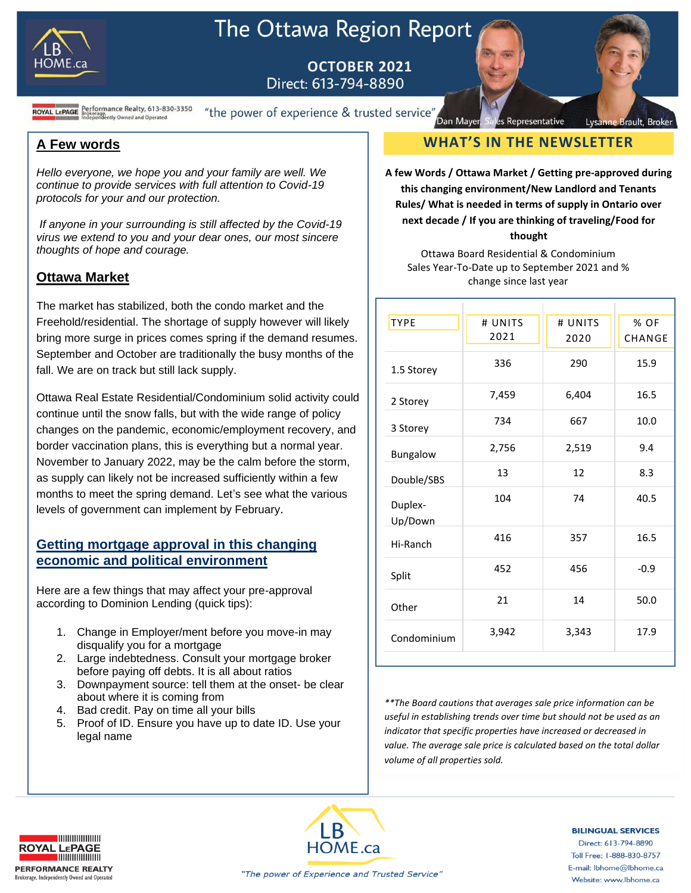

# The Ottawa Region Report

**OCTOBER 2021**<br>Direct: 613-794-8890

**ROYAL LEPAGE** Brokerage.<br>**ROYAL LEPAGE** Brokerage.<br>**ROYAL LEPAGE** Brokerage.<br>**Independently Owned and Operated** 

"the power of experience & trusted service"

## **A Few words**

*Hello everyone, we hope you and your family are well. We continue to provide services with full attention to Covid-19 protocols for your and our protection.*

*If anyone in your surrounding is still affected by the Covid-19 virus we extend to you and your dear ones, our most sincere thoughts of hope and courage.*

## **Ottawa Market**

The market has stabilized, both the condo market and the Freehold/residential. The shortage of supply however will likely bring more surge in prices comes spring if the demand resumes. September and October are traditionally the busy months of the fall. We are on track but still lack supply.

Ottawa Real Estate Residential/Condominium solid activity could continue until the snow falls, but with the wide range of policy changes on the pandemic, economic/employment recovery, and border vaccination plans, this is everything but a normal year. November to January 2022, may be the calm before the storm, as supply can likely not be increased sufficiently within a few months to meet the spring demand. Let's see what the various levels of government can implement by February.

## **Getting mortgage approval in this changing economic and political environment**

Here are a few things that may affect your pre-approval according to Dominion Lending (quick tips):

- 1. Change in Employer/ment before you move-in may disqualify you for a mortgage
- 2. Large indebtedness. Consult your mortgage broker before paying off debts. It is all about ratios
- 3. Downpayment source: tell them at the onset- be clear about where it is coming from
- 4. Bad credit. Pay on time all your bills
- 5. Proof of ID. Ensure you have up to date ID. Use your legal name

## s Representative **WHAT'S IN THE NEWSLETTER**

Lysanne Brault, Broker

Dan Mayer

**A few Words / Ottawa Market / Getting pre-approved during this changing environment/New Landlord and Tenants Rules/ What is needed in terms of supply in Ontario over next decade / If you are thinking of traveling/Food for thought**

Ottawa Board Residential & Condominium Sales Year-To-Date up to September 2021 and % change since last year

| <b>TYPE</b>        | # UNITS | # UNITS | % OF   |
|--------------------|---------|---------|--------|
|                    | 2021    | 2020    | CHANGE |
| 1.5 Storey         | 336     | 290     | 15.9   |
| 2 Storey           | 7,459   | 6,404   | 16.5   |
| 3 Storey           | 734     | 667     | 10.0   |
| Bungalow           | 2,756   | 2,519   | 9.4    |
| Double/SBS         | 13      | 12      | 8.3    |
| Duplex-<br>Up/Down | 104     | 74      | 40.5   |
| Hi-Ranch           | 416     | 357     | 16.5   |
| Split              | 452     | 456     | $-0.9$ |
| Other              | 21      | 14      | 50.0   |
| Condominium        | 3,942   | 3,343   | 17.9   |

*\*\*The Board cautions that averages sale price information can be useful in establishing trends over time but should not be used as an indicator that specific properties have increased or decreased in value. The average sale price is calculated based on the total dollar volume of all properties sold.*





#### **BILINGUAL SERVICES**

Direct: 613-794-8890 Toll Free: 1-888-830-8757 E-mail: lbhome@lbhome.ca Website: www.lbhome.ca